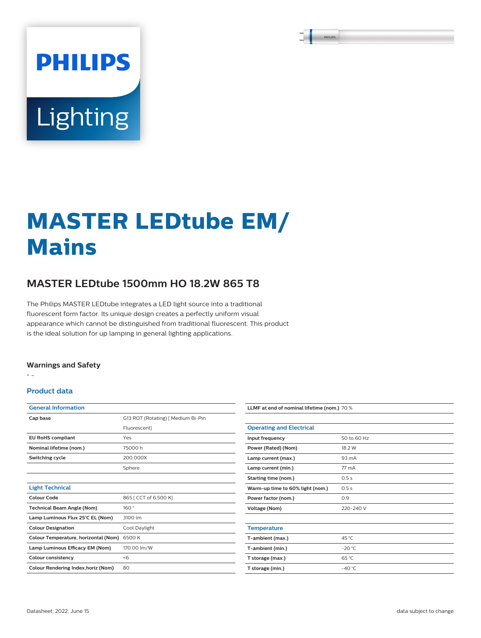# Lighting

**PHILIPS** 

## **MASTER LEDtube EM/ Mains**

### **MASTER LEDtube 1500mm HO 18.2W 865 T8**

The Philips MASTER LEDtube integrates a LED light source into a traditional fluorescent form factor. Its unique design creates a perfectly uniform visual appearance which cannot be distinguished from traditional fluorescent. This product is the ideal solution for up lamping in general lighting applications.

#### **Warnings and Safety**

• -

#### **Product data**

| <b>General Information</b>           |                                    |
|--------------------------------------|------------------------------------|
| Cap base                             | G13 ROT (Rotating)   Medium Bi-Pin |
|                                      | Fluorescent]                       |
| <b>EU RoHS compliant</b>             | Yes                                |
| Nominal lifetime (nom.)              | 75000h                             |
| Switching cycle                      | 200,000X                           |
|                                      | Sphere                             |
|                                      |                                    |
| <b>Light Technical</b>               |                                    |
| Colour Code                          | 865 [ CCT of 6,500 K]              |
| <b>Technical Beam Angle (Nom)</b>    | 160°                               |
| Lamp Luminous Flux 25°C EL (Nom)     | 3100 lm                            |
| <b>Colour Designation</b>            | Cool Daylight                      |
| Colour Temperature, horizontal (Nom) | 6500 K                             |
| Lamp Luminous Efficacy EM (Nom)      | 170.00 lm/W                        |
| <b>Colour consistency</b>            | < 6                                |
| Colour Rendering Index, horiz (Nom)  | 80                                 |

| LLMF at end of nominal lifetime (nom.) 70 % |                 |  |
|---------------------------------------------|-----------------|--|
|                                             |                 |  |
| <b>Operating and Electrical</b>             |                 |  |
| Input frequency                             | 50 to 60 Hz     |  |
| Power (Rated) (Nom)                         | 18.2 W          |  |
| Lamp current (max.)                         | 93 mA           |  |
| Lamp current (min.)                         | 77 mA           |  |
| Starting time (nom.)                        | 0.5s            |  |
| Warm-up time to 60% light (nom.)            | 0.5s            |  |
| Power factor (nom.)                         | 0.9             |  |
| <b>Voltage (Nom)</b>                        | 220-240 V       |  |
|                                             |                 |  |
| <b>Temperature</b>                          |                 |  |
| T-ambient (max.)                            | 45 °C           |  |
| T-ambient (min.)                            | $-20 °C$        |  |
| T storage (max.)                            | 65 °C           |  |
| T storage (min.)                            | $-40^{\circ}$ C |  |
|                                             |                 |  |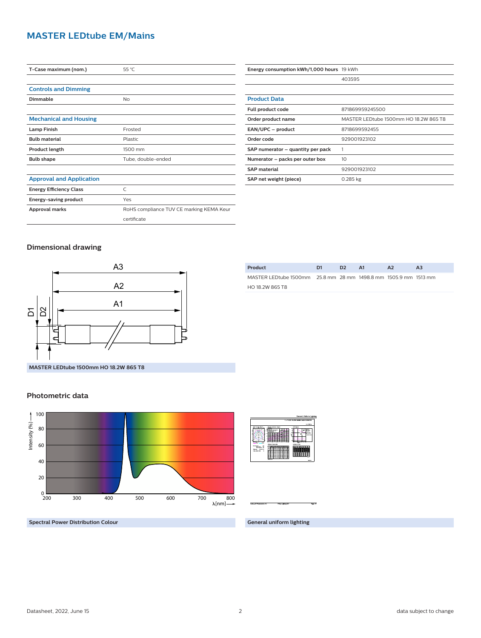#### **MASTER LEDtube EM/Mains**

| T-Case maximum (nom.)           | 55 °C                                    |
|---------------------------------|------------------------------------------|
|                                 |                                          |
| <b>Controls and Dimming</b>     |                                          |
| Dimmable                        | No                                       |
|                                 |                                          |
| <b>Mechanical and Housing</b>   |                                          |
| <b>Lamp Finish</b>              | Frosted                                  |
| <b>Bulb material</b>            | Plastic                                  |
| Product length                  | 1500 mm                                  |
| <b>Bulb shape</b>               | Tube, double-ended                       |
|                                 |                                          |
| <b>Approval and Application</b> |                                          |
| <b>Energy Efficiency Class</b>  | $\subset$                                |
| Energy-saving product           | Yes                                      |
| Approval marks                  | RoHS compliance TUV CE marking KEMA Keur |
|                                 | certificate                              |

| Energy consumption kWh/1,000 hours 19 kWh |                                       |
|-------------------------------------------|---------------------------------------|
|                                           | 403595                                |
|                                           |                                       |
| <b>Product Data</b>                       |                                       |
| Full product code                         | 871869959245500                       |
| Order product name                        | MASTER LEDtube 1500mm HO 18.2W 865 T8 |
| EAN/UPC - product                         | 8718699592455                         |
| Order code                                | 929001923102                          |
| SAP numerator – quantity per pack         |                                       |
| Numerator – packs per outer box           | 10                                    |
| <b>SAP material</b>                       | 929001923102                          |
| SAP net weight (piece)                    | $0.285$ kg                            |

#### **Dimensional drawing**



| Product                                                         | D1 | D <sub>2</sub> | A1 | A <sub>2</sub> | AЗ |
|-----------------------------------------------------------------|----|----------------|----|----------------|----|
| MASTER LEDtube 1500mm 25.8 mm 28 mm 1498.8 mm 1505.9 mm 1513 mm |    |                |    |                |    |
| HO 18.2W 865 T8                                                 |    |                |    |                |    |
|                                                                 |    |                |    |                |    |

#### **Photometric data**



|                                                                                                            | General Uniform Lighting                                                                                                                                                                                                                                                     |
|------------------------------------------------------------------------------------------------------------|------------------------------------------------------------------------------------------------------------------------------------------------------------------------------------------------------------------------------------------------------------------------------|
|                                                                                                            | 1 x TLED 10.2W 4500K 148D 92990192                                                                                                                                                                                                                                           |
|                                                                                                            | 1 + 200 km                                                                                                                                                                                                                                                                   |
| Pular Internity disprove<br><b>ALC US</b>                                                                  | USK days<br>Questa extruder day an<br>$\overline{\phantom{a}}$<br>$\sim$<br><b>Sherwood</b><br>---<br>----<br><b>Londons</b> Take<br><b>United at Service Address</b>                                                                                                        |
| <b>SAN SIGN NO</b><br><b>Selection</b><br>a.<br>Services 14<br>1034.00<br>-----<br><b>MANUFACTION</b><br>× | <b>Mark Marketsen</b><br><br>$\sim$ $\sim$<br>22<br><br>22<br>---<br>œ<br>≕<br>п<br>÷<br>c<br>н<br>÷<br>÷<br>÷<br>÷<br>÷<br>-<br>Ξ<br>÷<br>٠<br>Ξ<br>.,<br>c<br>⋍<br>c<br>⋍<br>Ξ<br>٠<br>÷<br>٠<br>в<br>ı.<br>٠<br>Ξ<br>---<br>$-1$<br>Ξ<br><b>Colorador</b><br><b>FLA.1</b> |

**Spectral Power Distribution Colour**

**General uniform lighting**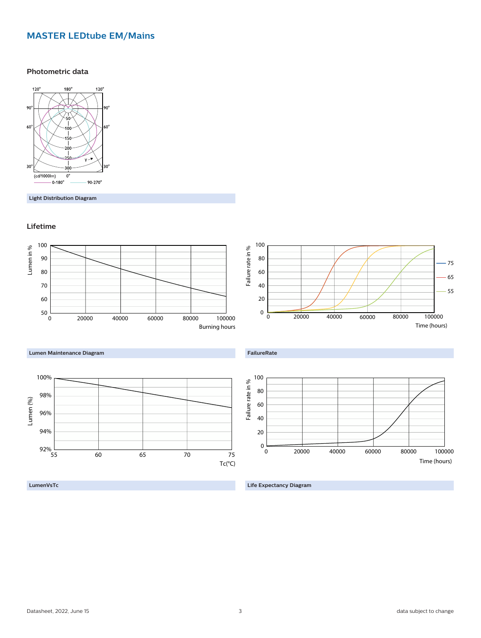#### **MASTER LEDtube EM/Mains**

#### **Photometric data**



**Light Distribution Diagram**

#### **Lifetime**